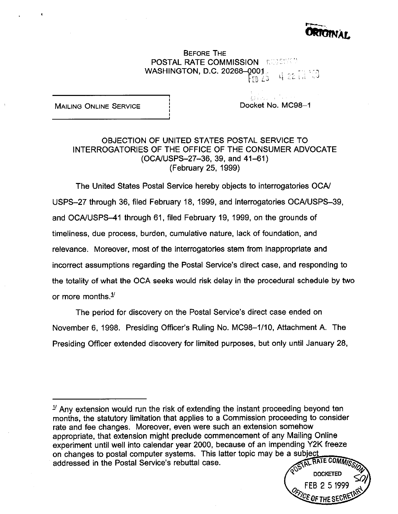

BEFORE THE **POSTAL RATE COMMISSION I: RESCHED** WASHINGTON, D.C. 20268-0001.  $\cdot$  FR  $\pm$  )

MAILING ONLINE SERVICE **I** interventional Docket No. MC98-1

## OBJECTION OF UNITED STATES POSTAL SERVICE TO INTERROGATORIES OF THE OFFICE OF THE CONSUMER ADVOCATE (OCA/USPS-27-36, 39, and 41-61) (February 25, 1999)

, I

The United States Postal Service hereby objects to interrogatories OCA/ USPS-27 through 36, filed February 18, 1999, and interrogatories OCA/USPS-39, and OCA/USPS-41 through 61, filed February 19, 1999, on the grounds of timeliness, due process, burden, cumulative nature, lack of foundation, and relevance. Moreover, most of the interrogatories stem from inappropriate and incorrect assumptions regarding the Postal Service's direct case, and responding to the totality of what the OCA seeks would risk delay in the procedural schedule by two or more months. $1/2$ 

The period for discovery on the Postal Service's direct case ended on November 6, 1998. Presiding Officer's Ruling No. MC98-1/10, Attachment A. The Presiding Officer extended discovery for limited purposes, but only until January 28,

 $1/2$  Any extension would run the risk of extending the instant proceeding beyond ten months, the statutory limitation that applies to a Commission proceeding to consider rate and fee changes. Moreover, even were such an extension somehow appropriate, that extension might preclude commencement of any Mailing Online experiment until well into calendar year 2000, because of an impending Y2K freeze on changes to postal computer systems. This latter topic may be FAL RATE COMMIC addressed in the Postal Service's rebuttal case.

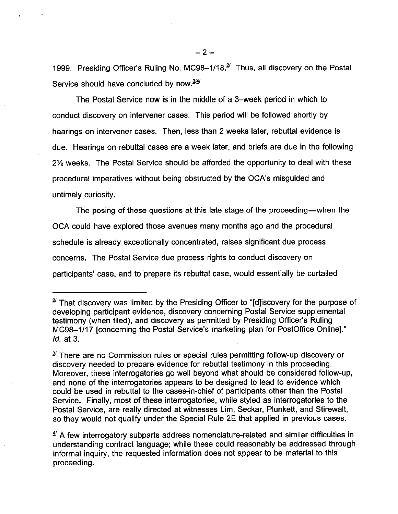1999. Presiding Officer's Ruling No. MC98-1/18.<sup>2/</sup> Thus, all discovery on the Postal Service should have concluded by now.<sup>3/4/</sup>

The Postal Service now is in the middle of a 3-week period in which to conduct discovery on intervener cases. This period will be followed shortly by hearings on intervener cases. Then, less than 2 weeks later, rebuttal evidence is due. Hearings on rebuttal cases are a week later, and briefs are due in the following 2% weeks. The Postal Service should be afforded the opportunity to deal with these procedural imperatives without being obstructed by the 004's misguided and untimely curiosity.

The posing of these questions at this late stage of the proceeding—when the OCA could have explored those avenues many months ago and the procedural schedule is already exceptionally concentrated, raises significant due process concerns. The Postal Service due process rights to conduct discovery on participants' case, and to prepare its rebuttal case, would essentially be curtailed

 $-2-$ 

 $2^{\prime}$  That discovery was limited by the Presiding Officer to "[d] iscovery for the purpose of developing participant evidence, discovery concerning Postal Service supplemental testimony (when filed), and discovery as permitted by Presiding Officer's Ruling MC98-1117 [concerning the Postal Service's marketing plan for PostOffice Online]." Id. at 3.

 $3<sup>2</sup>$  There are no Commission rules or special rules permitting follow-up discovery or discovery needed to prepare evidence for rebuttal testimony in this proceeding. Moreover, these interrogatories go well beyond what should be considered follow-up, and none of the interrogatories appears to be designed to lead to evidence which could be used in rebuttal to the cases-in-chief of participants other than the Postal Service. Finally, most of these interrogatories, while styled as interrogatories to the Postal Service, are really directed at witnesses Lim, Seckar, Plunkett, and Stirewalt, so they would not qualify under the Special Rule 2E that applied in previous cases.

 $\frac{4}{3}$  A few interrogatory subparts address nomenclature-related and similar difficulties in understanding contract language; while these could reasonably be addressed through informal inquiry, the requested information does not appear to be material to this proceeding.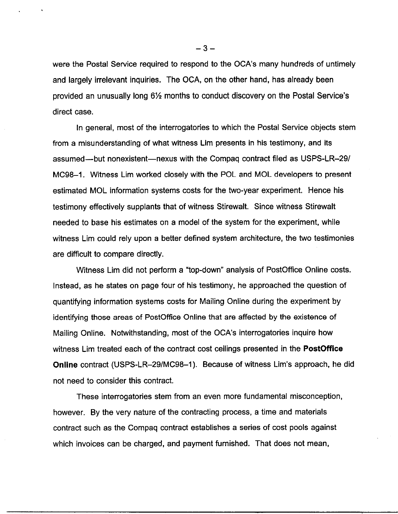were the Postal Service required to respond to the OCA's many hundreds of untimely and largely irrelevant inquiries. The OCA, on the other hand, has already been provided an unusually long 6% months to conduct discovery on the Postal Service's direct case.

In general, most of the interrogatories to which the Postal Service objects stem from a misunderstanding of what witness Lim presents in his testimony, and its assumed-but nonexistent-nexus with the Compaq contract filed as USPS-LR-29/ MC98-1. Witness Lim worked closely with the POL and MOL developers to present estimated MOL information systems costs for the two-year experiment. Hence his testimony effectively supplants that of witness Stirewalt. Since witness Stirewalt needed to base his estimates on a model of the system for the experiment, while witness Lim could rely upon a better defined system architecture, the two testimonies are difficult to compare directly.

Witness Lim did not perform a "top-down" analysis of PostOffice Online costs. Instead, as he states on page four of his testimony, he approached the question of quantifying information systems costs for Mailing Online during the experiment by identifying those areas of PostOffice Online that are affected by the existence of Mailing Online. Notwithstanding, most of the OCA's interrogatories inquire how witness Lim treated each of the contract cost ceilings presented in the **PostOffice** Online contract (USPS-LR-29/MC98-1). Because of witness Lim's approach, he did not need to consider this contract.

These interrogatories stem from an even more fundamental misconception, however. By the very nature of the contracting process, a time and materials contract such as the Compaq contract establishes a series of cost pools against which invoices can be charged, and payment furnished. That does not mean,

 $-3-$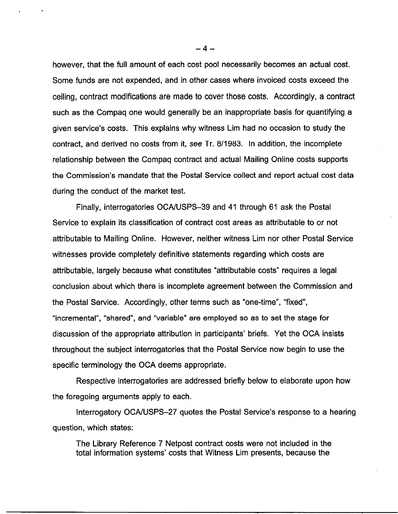however, that the full amount of each cost pool necessarily becomes an actual cost. Some funds are not expended, and in other cases where invoiced costs exceed the ceiling, contract modifications are made to cover those costs. Accordingly, a contract such as the Compaq one would generally be an inappropriate basis for quantifying a given service's costs. This explains why witness Lim had no occasion to study the contract, and derived no costs from it, see Tr. 8/1983. In addition, the incomplete relationship between the Compaq contract and actual Mailing Online costs supports the Commission's mandate that the Postal Service collect and report actual cost data during the conduct of the market test.

Finally, interrogatories OCA/USPS-39 and 41 through 61 ask the Postal Service to explain its classification of contract cost areas as attributable to or not attributable to Mailing Online. However, neither witness Lim nor other Postal Service witnesses provide completely definitive statements regarding which costs are attributable, largely because what constitutes "attributable costs" requires a legal conclusion about which there is incomplete agreement between the Commission and the Postal Service. Accordingly, other terms such as "one-time", "fixed", "incremental", "shared", and "variable" are employed so as to set the stage for discussion of the appropriate attribution in participants' briefs. Yet the OCA insists throughout the subject interrogatories that the Postal Service now begin to use the specific terminology the OCA deems appropriate.

Respective interrogatories are addressed briefly below to elaborate upon how the foregoing arguments apply to each.

Interrogatory OCAIUSPS-27 quotes the Postal Service's response to a hearing question, which states:

The Library Reference 7 Netpost contract costs were not included in the total information systems' costs that Witness Lim presents, because the

 $-4-$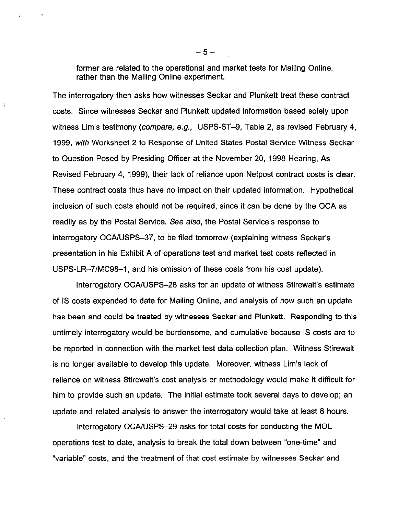former are related to the operational and market tests for Mailing Online, rather than the Mailing Online experiment.

The interrogatory then asks how witnesses Seckar and Plunkett treat these contract costs. Since witnesses Seckar and Plunkett updated information based solely upon witness Lim's testimony (*compare, e.g., USPS-ST-9*, Table 2, as revised February 4, 1999, with Worksheet 2 to Response of United States Postal Service Witness Seckar to Question Posed by Presiding Officer at the November 20, 1998 Hearing, As Revised February 4, 1999), their lack of reliance upon Netpost contract costs is clear. These contract costs thus have no impact on their updated information. Hypothetical inclusion of such costs should not be required, since it can be done by the OCA as readily as by the Postal Service. See also, the Postal Service's response to interrogatory OCA/USPS-37, to be filed tomorrow (explaining witness Seckar's presentation in his Exhibit A of operations test and market test costs reflected in USPS-LR-7/MC98-1, and his omission of these costs from his cost update).

Interrogatory OCAIUSPS-28 asks for an update of witness Stirewalt's estimate of IS costs expended to date for Mailing Online, and analysis of how such an update has been and could be treated by witnesses Seckar and Plunkett. Responding to this untimely interrogatory would be burdensome, and cumulative because IS costs are to be reported in connection with the market test data collection plan. Witness Stirewalt is no longer available to develop this update. Moreover, witness Lim's lack of reliance on witness Stirewalt's cost analysis or methodology would make it difficult for him to provide such an update. The initial estimate took several days to develop; an update and related analysis to answer the interrogatory would take at least 8 hours.

Interrogatory OCA/USPS-29 asks for total costs for conducting the MOL operations test to date, analysis to break the total down between "one-time" and "variable" costs, and the treatment of that cost estimate by witnesses Seckar and

 $-5-$ 

. .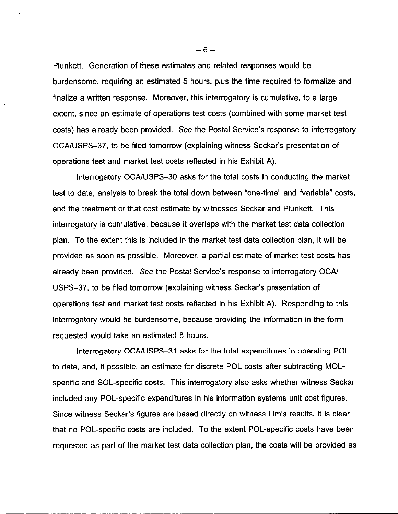Plunkett. Generation of these estimates and related responses would be burdensome, requiring an estimated 5 hours, plus the time required to formalize and finalize a written response. Moreover, this interrogatory is cumulative, to a large extent, since an estimate of operations test costs (combined with some market test costs) has already been provided. See the Postal Service's response to interrogatory OCAIUSPS-37, to be filed tomorrow (explaining witness Seckar's presentation of operations test and market test costs reflected in his Exhibit A).

Interrogatory OCA/USPS-30 asks for the total costs in conducting the market test to date, analysis to break the total down between "one-time" and "variable" costs, and the treatment of that cost estimate by witnesses Seckar and Plunkett. This interrogatory is cumulative, because it overlaps with the market test data collection plan. To the extent this is included in the market test data collection plan, it will be provided as soon as possible. Moreover, a partial estimate of market test costs has already been provided. See the Postal Service's response to interrogatory OCA/ USPS-37, to be filed tomorrow (explaining witness Seckar's presentation of operations test and market test costs reflected in his Exhibit A). Responding to this interrogatory would be burdensome, because providing the information in the form requested would take an estimated 8 hours.

Interrogatory OCA/USPS-31 asks for the total expenditures in operating POL to date, and, if possible, an estimate for discrete POL costs after subtracting MOLspecific and SOL-specific costs. This interrogatory also asks whether witness Seckar included any POL-specific expenditures in his information systems unit cost figures. Since witness Seckar's figures are based directly on witness Lim's results, it is clear that no POL-specific costs are included. To the extent POL-specific costs have been requested as part of the market test data collection plan, the costs will be provided as

-6-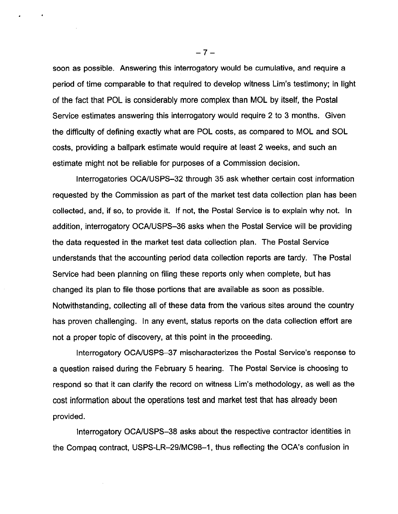soon as possible. Answering this interrogatory would be cumulative, and require a period of time comparable to that required to develop witness Lim's testimony: in light of the fact that POL is considerably more complex than MOL by itself, the Postal Service estimates answering this interrogatory would require 2 to 3 months. Given the difficulty of defining exactly what are POL costs, as compared to MOL and SOL costs, providing a ballpark estimate would require at least 2 weeks, and such an estimate might not be reliable for purposes of a Commission decision.

Interrogatories OCAWSPS-32 through 35 ask whether certain cost information requested by the Commission as part of the market test data collection plan has been collected, and, if so, to provide it. If not, the Postal Service is to explain why not. In addition, interrogatory OCAIUSPS-36 asks when the Postal Service will be providing the data requested in the market test data collection plan. The Postal Service understands that the accounting period data collection reports are tardy. The Postal Service had been planning on filing these reports only when complete, but has changed its plan to file those portions that are available as soon as possible. Notwithstanding, collecting all of these data from the various sites around the country has proven challenging. In any event, status reports on the data collection effort are not a proper topic of discovery, at this point in the proceeding.

Interrogatory OCA/USPS-37 mischaracterizes the Postal Service's response to a question raised during the February 5 hearing. The Postal Service is choosing to respond so that it can clarify the record on witness Lim's methodology, as well as the cost information about the operations test and market test that has already been provided.

Interrogatory OCA/USPS-38 asks about the respective contractor identities in the Compaq contract, USPS-LR-29/MC98-1, thus reflecting the OCA's confusion in

 $-7-$ 

. .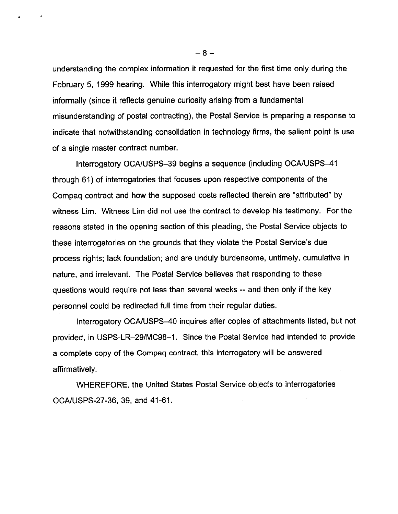understanding the complex information it requested for the first time only during the February 5, 1999 hearing. While this interrogatory might best have been raised informally (since it reflects genuine curiosity arising from a fundamental misunderstanding of postal contracting), the Postal Service is preparing a response to indicate that notwithstanding consolidation in technology firms, the salient point is use of a single master contract number.

Interrogatory OCA/USPS-39 begins a sequence (including OCA/USPS-41 through 61) of interrogatories that focuses upon respective components of the Compaq contract and how the supposed costs reflected therein are "attributed" by witness Lim. Witness Lim did not use the contract to develop his testimony. For the reasons stated in the opening section of this pleading, the Postal Service objects to these interrogatories on the grounds that they violate the Postal Service's due process rights; lack foundation; and are unduly burdensome, untimely, cumulative in nature, and irrelevant. The Postal Service believes that responding to these questions would require not less than several weeks -- and then only if the key personnel could be redirected full time from their regular duties.

Interrogatory OCA/USPS-40 inquires after copies of attachments listed, but not provided, in USPS-LR-29/MC98-1. Since the Postal Service had intended to provide a complete copy of the Compaq contract, this interrogatory will be answered affirmatively.

WHEREFORE, the United States Postal Service objects to interrogatories OCANSPS-27-36, 39, and 41-61.

 $-8-$ 

. .